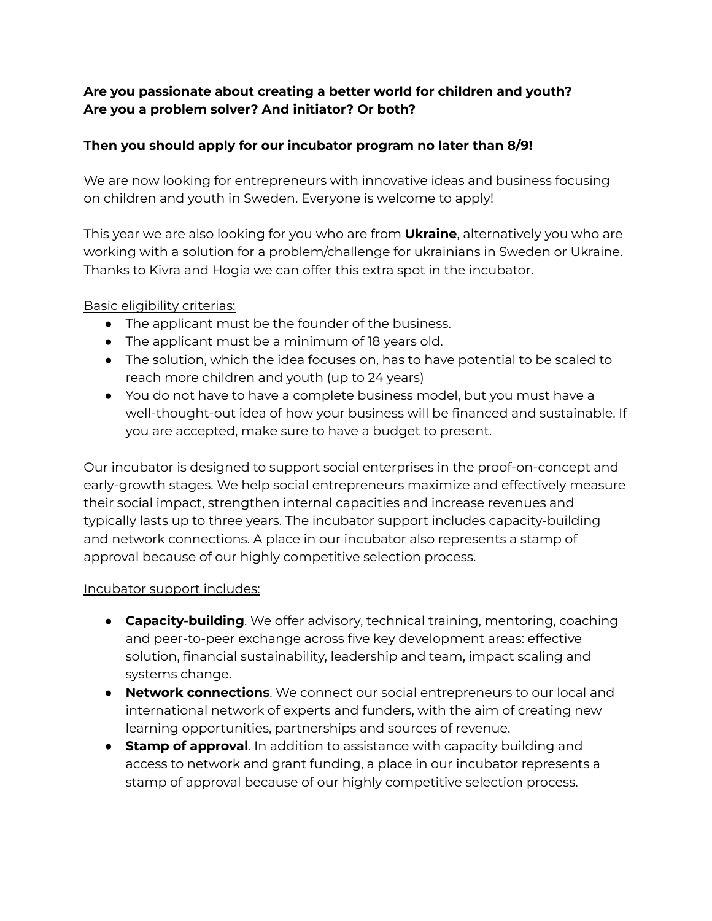# **Are you passionate about creating a better world for children and youth? Are you a problem solver? And initiator? Or both?**

# **Then you should apply for our incubator program no later than 8/9!**

We are now looking for entrepreneurs with innovative ideas and business focusing on children and youth in Sweden. Everyone is welcome to apply!

This year we are also looking for you who are from **Ukraine**, alternatively you who are working with a solution for a problem/challenge for ukrainians in Sweden or Ukraine. Thanks to Kivra and Hogia we can offer this extra spot in the incubator.

#### Basic eligibility criterias:

- The applicant must be the founder of the business.
- The applicant must be a minimum of 18 years old.
- The solution, which the idea focuses on, has to have potential to be scaled to reach more children and youth (up to 24 years)
- You do not have to have a complete business model, but you must have a well-thought-out idea of how your business will be financed and sustainable. If you are accepted, make sure to have a budget to present.

Our incubator is designed to support social enterprises in the proof-on-concept and early-growth stages. We help social entrepreneurs maximize and effectively measure their social impact, strengthen internal capacities and increase revenues and typically lasts up to three years. The incubator support includes capacity-building and network connections. A place in our incubator also represents a stamp of approval because of our highly competitive selection process.

#### Incubator support includes:

- **Capacity-building**. We offer advisory, technical training, mentoring, coaching and peer-to-peer exchange across five key development areas: effective solution, financial sustainability, leadership and team, impact scaling and systems change.
- **Network connections**. We connect our social entrepreneurs to our local and international network of experts and funders, with the aim of creating new learning opportunities, partnerships and sources of revenue.
- **Stamp of approval**. In addition to assistance with capacity building and access to network and grant funding, a place in our incubator represents a stamp of approval because of our highly competitive selection process.